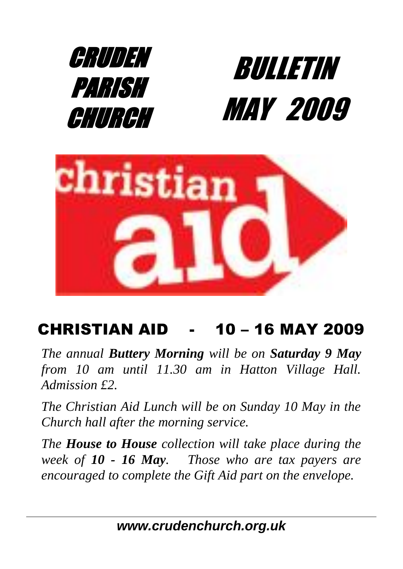



## CHRISTIAN AID - 10 – 16 MAY 2009

*The annual Buttery Morning will be on Saturday 9 May from 10 am until 11.30 am in Hatton Village Hall. Admission £2.* 

*The Christian Aid Lunch will be on Sunday 10 May in the Church hall after the morning service.*

*The House to House collection will take place during the week of 10 - 16 May. Those who are tax payers are encouraged to complete the Gift Aid part on the envelope.*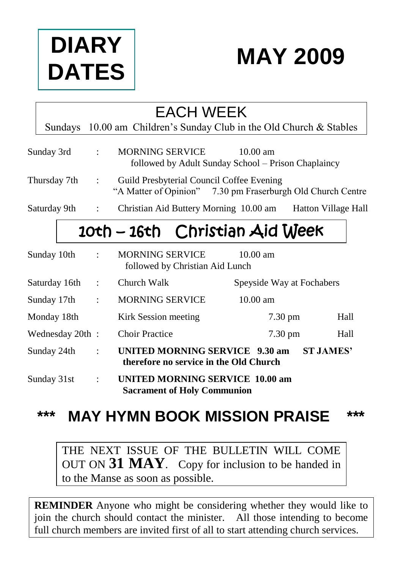



## EACH WEEK

Sundays 10.00 am Children's Sunday Club in the Old Church & Stables

| Sunday 3rd | <b>MORNING SERVICE</b> | $10.00 \text{ am}$                                  |
|------------|------------------------|-----------------------------------------------------|
|            |                        | followed by Adult Sunday School – Prison Chaplaincy |

- Thursday 7th : Guild Presbyterial Council Coffee Evening "A Matter of Opinion" 7.30 pm Fraserburgh Old Church Centre
- Saturday 9th : Christian Aid Buttery Morning 10.00 am Hatton Village Hall

# 10th – 16th Christian Aid Week

| Sunday 10th     | $\sim 10^6$          | <b>MORNING SERVICE</b><br>followed by Christian Aid Lunch                    | $10.00 \text{ am}$        |                  |
|-----------------|----------------------|------------------------------------------------------------------------------|---------------------------|------------------|
| Saturday 16th   | $\ddot{\phantom{a}}$ | Church Walk                                                                  | Speyside Way at Fochabers |                  |
| Sunday 17th     | $\ddot{\cdot}$       | <b>MORNING SERVICE</b>                                                       | $10.00 \text{ am}$        |                  |
| Monday 18th     |                      | Kirk Session meeting                                                         | $7.30 \text{ pm}$         | Hall             |
| Wednesday 20th: |                      | <b>Choir Practice</b>                                                        | $7.30 \text{ pm}$         | Hall             |
| Sunday 24th     | $\ddot{\cdot}$       | UNITED MORNING SERVICE 9.30 am<br>therefore no service in the Old Church     |                           | <b>ST JAMES'</b> |
| Sunday 31st     | $\ddot{\phantom{a}}$ | <b>UNITED MORNING SERVICE 10.00 am</b><br><b>Sacrament of Holy Communion</b> |                           |                  |

## **\*\*\* MAY HYMN BOOK MISSION PRAISE \*\*\***

THE NEXT ISSUE OF THE BULLETIN WILL COME OUT ON **31 MAY**. Copy for inclusion to be handed in to the Manse as soon as possible.

**REMINDER** Anyone who might be considering whether they would like to join the church should contact the minister. All those intending to become full church members are invited first of all to start attending church services.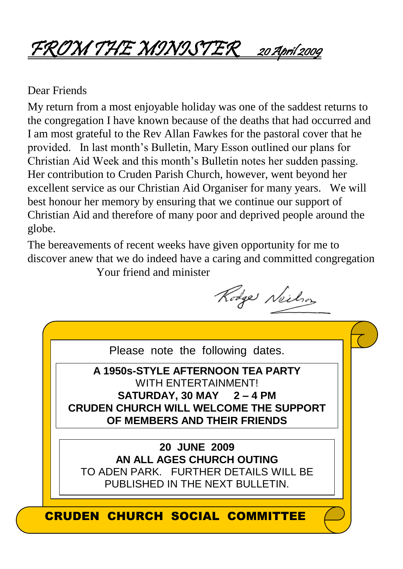# FROM THE MINISTER <sup>20</sup> April 2009

#### Dear Friends

My return from a most enjoyable holiday was one of the saddest returns to the congregation I have known because of the deaths that had occurred and I am most grateful to the Rev Allan Fawkes for the pastoral cover that he provided. In last month's Bulletin, Mary Esson outlined our plans for Christian Aid Week and this month's Bulletin notes her sudden passing. Her contribution to Cruden Parish Church, however, went beyond her excellent service as our Christian Aid Organiser for many years. We will best honour her memory by ensuring that we continue our support of Christian Aid and therefore of many poor and deprived people around the globe.

The bereavements of recent weeks have given opportunity for me to discover anew that we do indeed have a caring and committed congregation Your friend and minister

Rodge Neilson

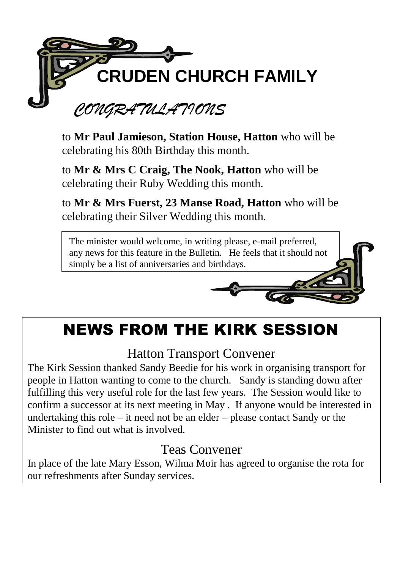

to **Mr Paul Jamieson, Station House, Hatton** who will be celebrating his 80th Birthday this month.

to **Mr & Mrs C Craig, The Nook, Hatton** who will be celebrating their Ruby Wedding this month.

to **Mr & Mrs Fuerst, 23 Manse Road, Hatton** who will be celebrating their Silver Wedding this month.



## NEWS FROM THE KIRK SESSION

## Hatton Transport Convener

The Kirk Session thanked Sandy Beedie for his work in organising transport for people in Hatton wanting to come to the church. Sandy is standing down after fulfilling this very useful role for the last few years. The Session would like to confirm a successor at its next meeting in May . If anyone would be interested in undertaking this role – it need not be an elder – please contact Sandy or the Minister to find out what is involved.

## Teas Convener

In place of the late Mary Esson, Wilma Moir has agreed to organise the rota for our refreshments after Sunday services.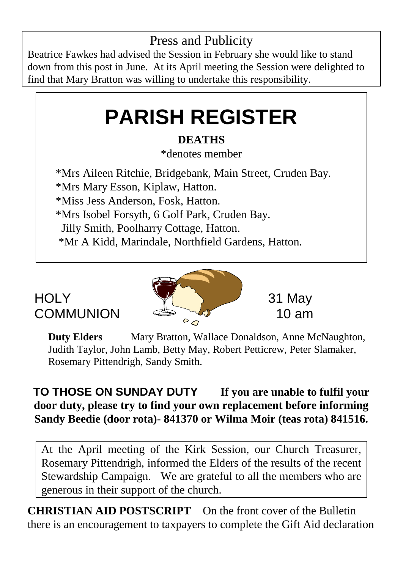## Press and Publicity

Beatrice Fawkes had advised the Session in February she would like to stand down from this post in June. At its April meeting the Session were delighted to find that Mary Bratton was willing to undertake this responsibility.

# **PARISH REGISTER**

### **DEATHS**

\*denotes member

 \*Mrs Aileen Ritchie, Bridgebank, Main Street, Cruden Bay. \*Mrs Mary Esson, Kiplaw, Hatton. \*Miss Jess Anderson, Fosk, Hatton. \*Mrs Isobel Forsyth, 6 Golf Park, Cruden Bay. Jilly Smith, Poolharry Cottage, Hatton. \*Mr A Kidd, Marindale, Northfield Gardens, Hatton.



**Duty Elders** Mary Bratton, Wallace Donaldson, Anne McNaughton, Judith Taylor, John Lamb, Betty May, Robert Petticrew, Peter Slamaker, Rosemary Pittendrigh, Sandy Smith.

#### **TO THOSE ON SUNDAY DUTY If you are unable to fulfil your door duty, please try to find your own replacement before informing Sandy Beedie (door rota)- 841370 or Wilma Moir (teas rota) 841516.**

At the April meeting of the Kirk Session, our Church Treasurer, Rosemary Pittendrigh, informed the Elders of the results of the recent Stewardship Campaign. We are grateful to all the members who are generous in their support of the church.

**CHRISTIAN AID POSTSCRIPT** On the front cover of the Bulletin there is an encouragement to taxpayers to complete the Gift Aid declaration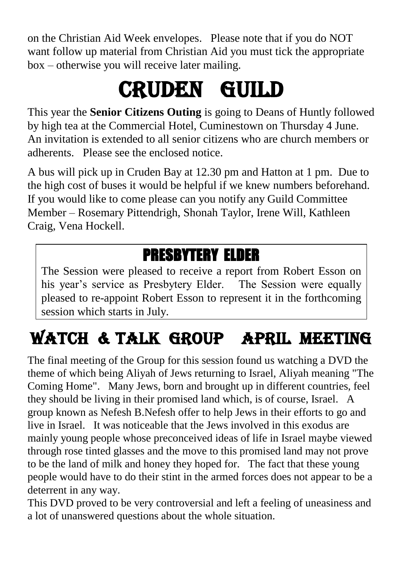on the Christian Aid Week envelopes. Please note that if you do NOT want follow up material from Christian Aid you must tick the appropriate box – otherwise you will receive later mailing.

# CRUDEN GUILD

This year the **Senior Citizens Outing** is going to Deans of Huntly followed by high tea at the Commercial Hotel, Cuminestown on Thursday 4 June. An invitation is extended to all senior citizens who are church members or adherents. Please see the enclosed notice.

A bus will pick up in Cruden Bay at 12.30 pm and Hatton at 1 pm. Due to the high cost of buses it would be helpful if we knew numbers beforehand. If you would like to come please can you notify any Guild Committee Member – Rosemary Pittendrigh, Shonah Taylor, Irene Will, Kathleen Craig, Vena Hockell.

## PRESBYTERY ELDER

The Session were pleased to receive a report from Robert Esson on his year's service as Presbytery Elder. The Session were equally pleased to re-appoint Robert Esson to represent it in the forthcoming session which starts in July.

# WATCH & TALK GROUP APRIL MEETING

The final meeting of the Group for this session found us watching a DVD the theme of which being Aliyah of Jews returning to Israel, Aliyah meaning "The Coming Home". Many Jews, born and brought up in different countries, feel they should be living in their promised land which, is of course, Israel. A group known as Nefesh B.Nefesh offer to help Jews in their efforts to go and live in Israel. It was noticeable that the Jews involved in this exodus are mainly young people whose preconceived ideas of life in Israel maybe viewed through rose tinted glasses and the move to this promised land may not prove to be the land of milk and honey they hoped for. The fact that these young people would have to do their stint in the armed forces does not appear to be a deterrent in any way.

This DVD proved to be very controversial and left a feeling of uneasiness and a lot of unanswered questions about the whole situation.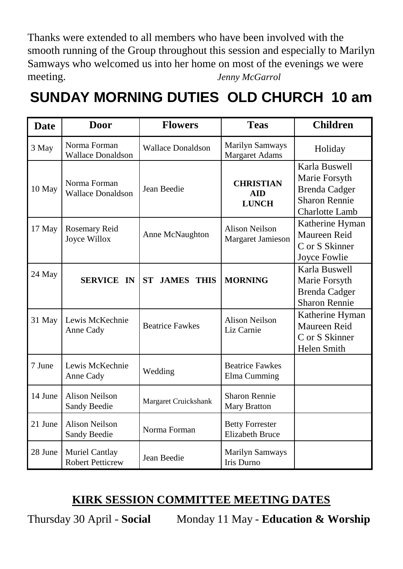Thanks were extended to all members who have been involved with the smooth running of the Group throughout this session and especially to Marilyn Samways who welcomed us into her home on most of the evenings we were meeting. *Jenny McGarrol*

## **SUNDAY MORNING DUTIES OLD CHURCH 10 am**

| Date    | Door                                      | <b>Flowers</b>                 | <b>Teas</b>                                      | <b>Children</b>                                                                                  |
|---------|-------------------------------------------|--------------------------------|--------------------------------------------------|--------------------------------------------------------------------------------------------------|
| 3 May   | Norma Forman<br><b>Wallace Donaldson</b>  | <b>Wallace Donaldson</b>       | Marilyn Samways<br><b>Margaret Adams</b>         | Holiday                                                                                          |
| 10 May  | Norma Forman<br><b>Wallace Donaldson</b>  | Jean Beedie                    | <b>CHRISTIAN</b><br><b>AID</b><br><b>LUNCH</b>   | Karla Buswell<br>Marie Forsyth<br><b>Brenda Cadger</b><br><b>Sharon Rennie</b><br>Charlotte Lamb |
| 17 May  | Rosemary Reid<br>Joyce Willox             | Anne McNaughton                | Alison Neilson<br>Margaret Jamieson              | Katherine Hyman<br>Maureen Reid<br>C or S Skinner<br>Joyce Fowlie                                |
| 24 May  | <b>SERVICE IN</b>                         | <b>ST</b><br><b>JAMES THIS</b> | <b>MORNING</b>                                   | Karla Buswell<br>Marie Forsyth<br>Brenda Cadger<br><b>Sharon Rennie</b>                          |
| 31 May  | Lewis McKechnie<br>Anne Cady              | <b>Beatrice Fawkes</b>         | Alison Neilson<br>Liz Carnie                     | Katherine Hyman<br>Maureen Reid<br>C or S Skinner<br>Helen Smith                                 |
| 7 June  | Lewis McKechnie<br>Anne Cady              | Wedding                        | <b>Beatrice Fawkes</b><br>Elma Cumming           |                                                                                                  |
| 14 June | <b>Alison Neilson</b><br>Sandy Beedie     | Margaret Cruickshank           | Sharon Rennie<br>Mary Bratton                    |                                                                                                  |
| 21 June | <b>Alison Neilson</b><br>Sandy Beedie     | Norma Forman                   | <b>Betty Forrester</b><br><b>Elizabeth Bruce</b> |                                                                                                  |
| 28 June | Muriel Cantlay<br><b>Robert Petticrew</b> | Jean Beedie                    | Marilyn Samways<br><b>Iris Durno</b>             |                                                                                                  |

#### **KIRK SESSION COMMITTEE MEETING DATES**

Thursday 30 April - **Social** Monday 11 May - **Education & Worship**